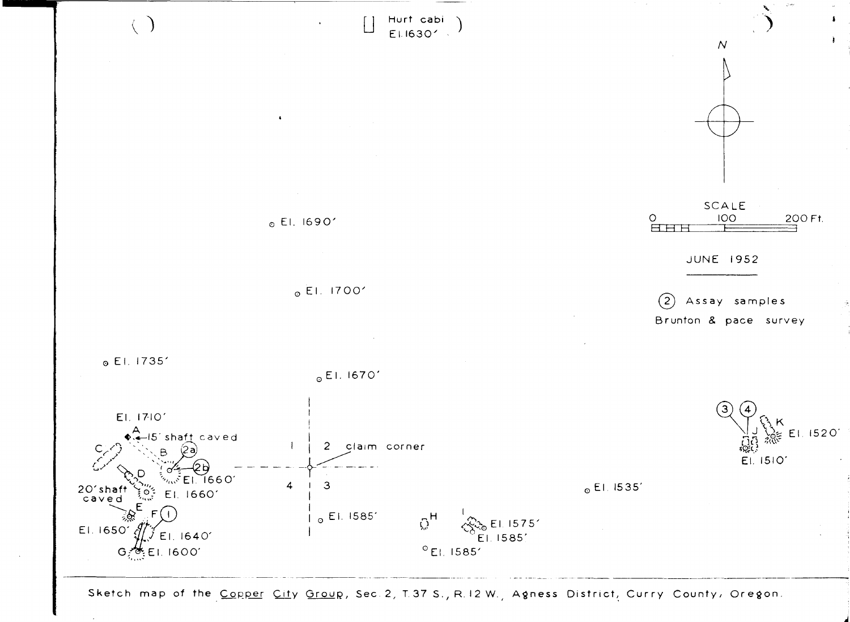